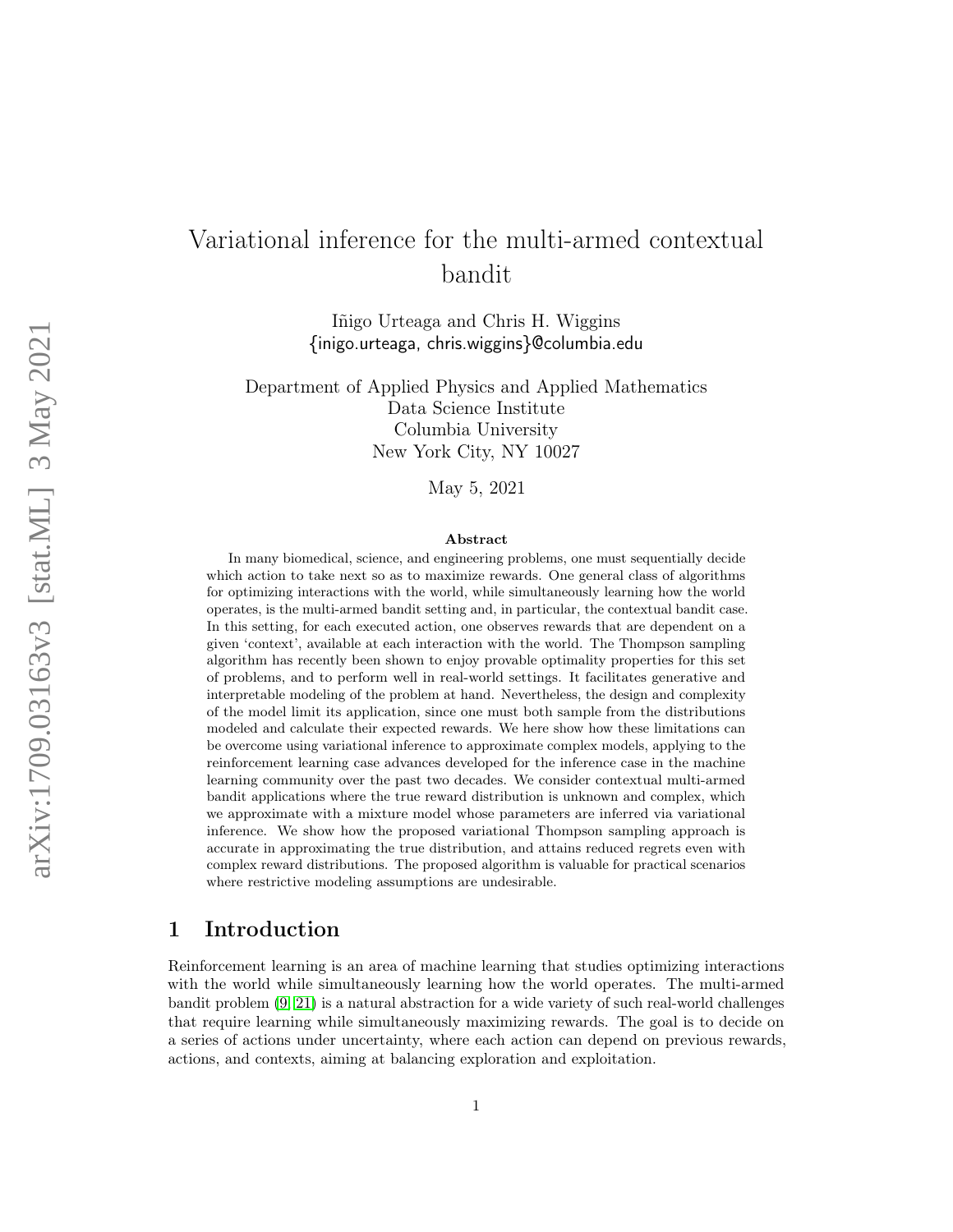# Variational inference for the multi-armed contextual bandit

Iñigo Urteaga and Chris H. Wiggins {inigo.urteaga, chris.wiggins}@columbia.edu

Department of Applied Physics and Applied Mathematics Data Science Institute Columbia University New York City, NY 10027

May 5, 2021

#### Abstract

In many biomedical, science, and engineering problems, one must sequentially decide which action to take next so as to maximize rewards. One general class of algorithms for optimizing interactions with the world, while simultaneously learning how the world operates, is the multi-armed bandit setting and, in particular, the contextual bandit case. In this setting, for each executed action, one observes rewards that are dependent on a given 'context', available at each interaction with the world. The Thompson sampling algorithm has recently been shown to enjoy provable optimality properties for this set of problems, and to perform well in real-world settings. It facilitates generative and interpretable modeling of the problem at hand. Nevertheless, the design and complexity of the model limit its application, since one must both sample from the distributions modeled and calculate their expected rewards. We here show how these limitations can be overcome using variational inference to approximate complex models, applying to the reinforcement learning case advances developed for the inference case in the machine learning community over the past two decades. We consider contextual multi-armed bandit applications where the true reward distribution is unknown and complex, which we approximate with a mixture model whose parameters are inferred via variational inference. We show how the proposed variational Thompson sampling approach is accurate in approximating the true distribution, and attains reduced regrets even with complex reward distributions. The proposed algorithm is valuable for practical scenarios where restrictive modeling assumptions are undesirable.

### 1 Introduction

Reinforcement learning is an area of machine learning that studies optimizing interactions with the world while simultaneously learning how the world operates. The multi-armed bandit problem [\(9,](#page-12-0) [21\)](#page-13-0) is a natural abstraction for a wide variety of such real-world challenges that require learning while simultaneously maximizing rewards. The goal is to decide on a series of actions under uncertainty, where each action can depend on previous rewards, actions, and contexts, aiming at balancing exploration and exploitation.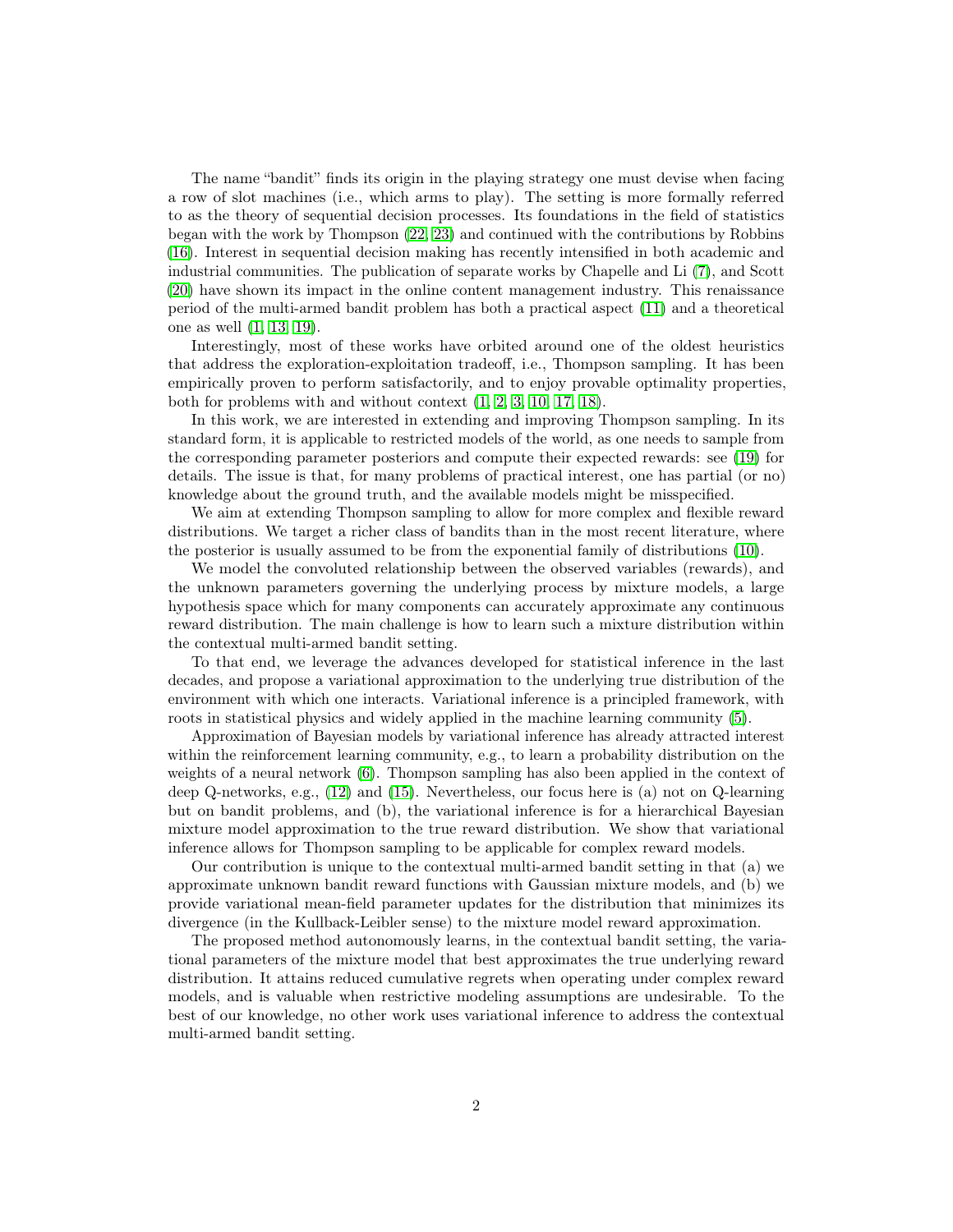The name "bandit" finds its origin in the playing strategy one must devise when facing a row of slot machines (i.e., which arms to play). The setting is more formally referred to as the theory of sequential decision processes. Its foundations in the field of statistics began with the work by Thompson [\(22,](#page-13-1) [23\)](#page-13-2) and continued with the contributions by Robbins [\(16\)](#page-12-1). Interest in sequential decision making has recently intensified in both academic and industrial communities. The publication of separate works by Chapelle and Li [\(7\)](#page-12-2), and Scott [\(20\)](#page-12-3) have shown its impact in the online content management industry. This renaissance period of the multi-armed bandit problem has both a practical aspect [\(11\)](#page-12-4) and a theoretical one as well [\(1,](#page-11-0) [13,](#page-12-5) [19\)](#page-12-6).

Interestingly, most of these works have orbited around one of the oldest heuristics that address the exploration-exploitation tradeoff, i.e., Thompson sampling. It has been empirically proven to perform satisfactorily, and to enjoy provable optimality properties, both for problems with and without context [\(1,](#page-11-0) [2,](#page-11-1) [3,](#page-11-2) [10,](#page-12-7) [17,](#page-12-8) [18\)](#page-12-9).

In this work, we are interested in extending and improving Thompson sampling. In its standard form, it is applicable to restricted models of the world, as one needs to sample from the corresponding parameter posteriors and compute their expected rewards: see [\(19\)](#page-12-6) for details. The issue is that, for many problems of practical interest, one has partial (or no) knowledge about the ground truth, and the available models might be misspecified.

We aim at extending Thompson sampling to allow for more complex and flexible reward distributions. We target a richer class of bandits than in the most recent literature, where the posterior is usually assumed to be from the exponential family of distributions [\(10\)](#page-12-7).

We model the convoluted relationship between the observed variables (rewards), and the unknown parameters governing the underlying process by mixture models, a large hypothesis space which for many components can accurately approximate any continuous reward distribution. The main challenge is how to learn such a mixture distribution within the contextual multi-armed bandit setting.

To that end, we leverage the advances developed for statistical inference in the last decades, and propose a variational approximation to the underlying true distribution of the environment with which one interacts. Variational inference is a principled framework, with roots in statistical physics and widely applied in the machine learning community [\(5\)](#page-11-3).

Approximation of Bayesian models by variational inference has already attracted interest within the reinforcement learning community, e.g., to learn a probability distribution on the weights of a neural network [\(6\)](#page-11-4). Thompson sampling has also been applied in the context of deep Q-networks, e.g., [\(12\)](#page-12-10) and [\(15\)](#page-12-11). Nevertheless, our focus here is (a) not on Q-learning but on bandit problems, and (b), the variational inference is for a hierarchical Bayesian mixture model approximation to the true reward distribution. We show that variational inference allows for Thompson sampling to be applicable for complex reward models.

Our contribution is unique to the contextual multi-armed bandit setting in that (a) we approximate unknown bandit reward functions with Gaussian mixture models, and (b) we provide variational mean-field parameter updates for the distribution that minimizes its divergence (in the Kullback-Leibler sense) to the mixture model reward approximation.

The proposed method autonomously learns, in the contextual bandit setting, the variational parameters of the mixture model that best approximates the true underlying reward distribution. It attains reduced cumulative regrets when operating under complex reward models, and is valuable when restrictive modeling assumptions are undesirable. To the best of our knowledge, no other work uses variational inference to address the contextual multi-armed bandit setting.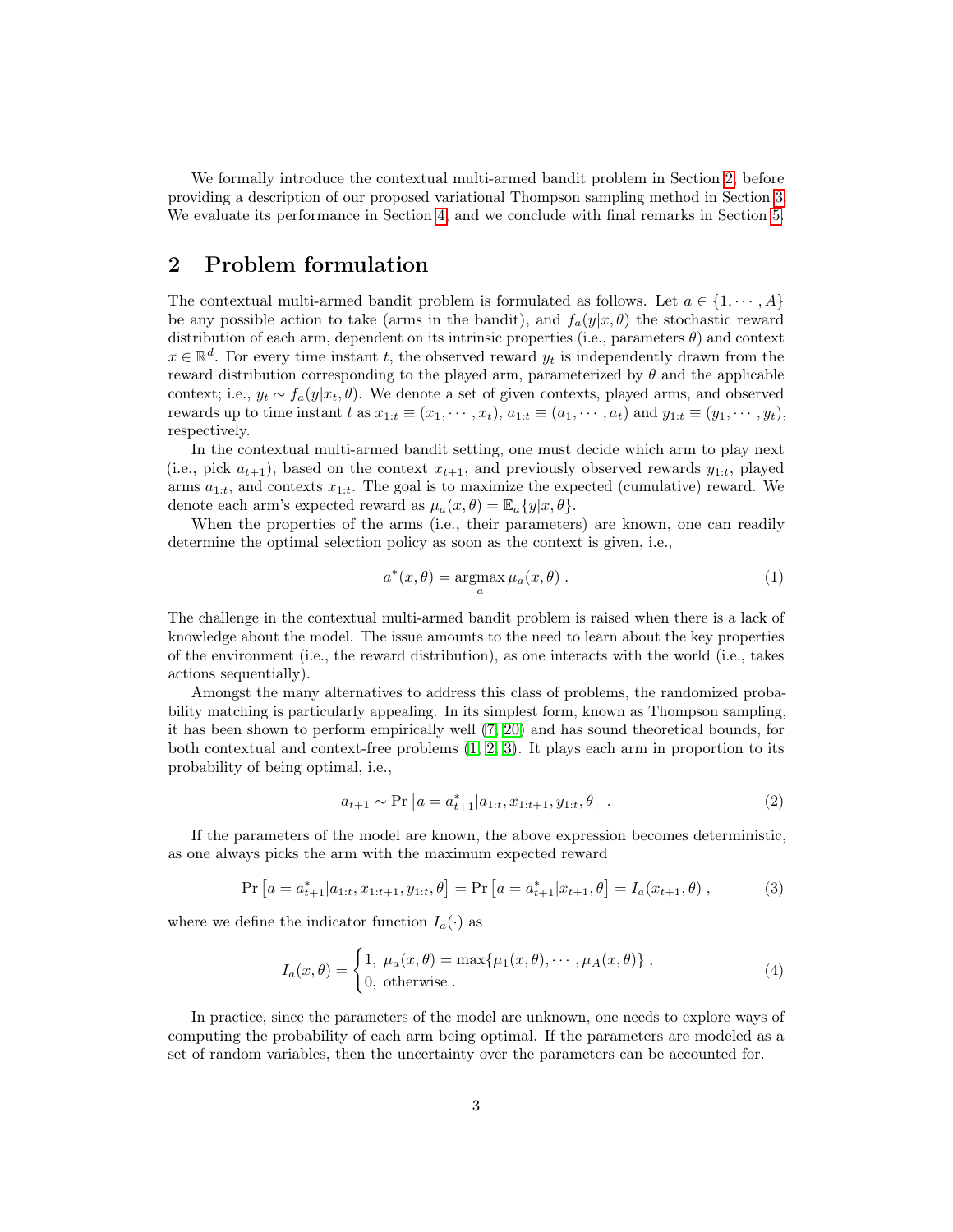We formally introduce the contextual multi-armed bandit problem in Section [2,](#page-2-0) before providing a description of our proposed variational Thompson sampling method in Section [3.](#page-3-0) We evaluate its performance in Section [4,](#page-8-0) and we conclude with final remarks in Section [5.](#page-11-5)

# <span id="page-2-0"></span>2 Problem formulation

The contextual multi-armed bandit problem is formulated as follows. Let  $a \in \{1, \dots, A\}$ be any possible action to take (arms in the bandit), and  $f_a(y|x, \theta)$  the stochastic reward distribution of each arm, dependent on its intrinsic properties (i.e., parameters  $\theta$ ) and context  $x \in \mathbb{R}^d$ . For every time instant t, the observed reward  $y_t$  is independently drawn from the reward distribution corresponding to the played arm, parameterized by  $\theta$  and the applicable context; i.e.,  $y_t \sim f_a(y|x_t, \theta)$ . We denote a set of given contexts, played arms, and observed rewards up to time instant t as  $x_{1:t} \equiv (x_1, \dots, x_t)$ ,  $a_{1:t} \equiv (a_1, \dots, a_t)$  and  $y_{1:t} \equiv (y_1, \dots, y_t)$ , respectively.

In the contextual multi-armed bandit setting, one must decide which arm to play next (i.e., pick  $a_{t+1}$ ), based on the context  $x_{t+1}$ , and previously observed rewards  $y_{1:t}$ , played arms  $a_{1:t}$ , and contexts  $x_{1:t}$ . The goal is to maximize the expected (cumulative) reward. We denote each arm's expected reward as  $\mu_a(x, \theta) = \mathbb{E}_a\{y|x, \theta\}.$ 

When the properties of the arms (i.e., their parameters) are known, one can readily determine the optimal selection policy as soon as the context is given, i.e.,

$$
a^*(x,\theta) = \underset{a}{\operatorname{argmax}} \,\mu_a(x,\theta) \,. \tag{1}
$$

The challenge in the contextual multi-armed bandit problem is raised when there is a lack of knowledge about the model. The issue amounts to the need to learn about the key properties of the environment (i.e., the reward distribution), as one interacts with the world (i.e., takes actions sequentially).

Amongst the many alternatives to address this class of problems, the randomized probability matching is particularly appealing. In its simplest form, known as Thompson sampling, it has been shown to perform empirically well [\(7,](#page-12-2) [20\)](#page-12-3) and has sound theoretical bounds, for both contextual and context-free problems  $(1, 2, 3)$  $(1, 2, 3)$  $(1, 2, 3)$  $(1, 2, 3)$  $(1, 2, 3)$ . It plays each arm in proportion to its probability of being optimal, i.e.,

$$
a_{t+1} \sim \Pr\left[a = a_{t+1}^* | a_{1:t}, x_{1:t+1}, y_{1:t}, \theta\right] \tag{2}
$$

If the parameters of the model are known, the above expression becomes deterministic, as one always picks the arm with the maximum expected reward

$$
\Pr\left[a=a_{t+1}^*|a_{1:t}, x_{1:t+1}, y_{1:t}, \theta\right] = \Pr\left[a=a_{t+1}^*|x_{t+1}, \theta\right] = I_a(x_{t+1}, \theta),\tag{3}
$$

where we define the indicator function  $I_a(\cdot)$  as

$$
I_a(x,\theta) = \begin{cases} 1, \ \mu_a(x,\theta) = \max\{\mu_1(x,\theta), \cdots, \mu_A(x,\theta)\}, \\ 0, \ \text{otherwise} \end{cases}
$$
 (4)

In practice, since the parameters of the model are unknown, one needs to explore ways of computing the probability of each arm being optimal. If the parameters are modeled as a set of random variables, then the uncertainty over the parameters can be accounted for.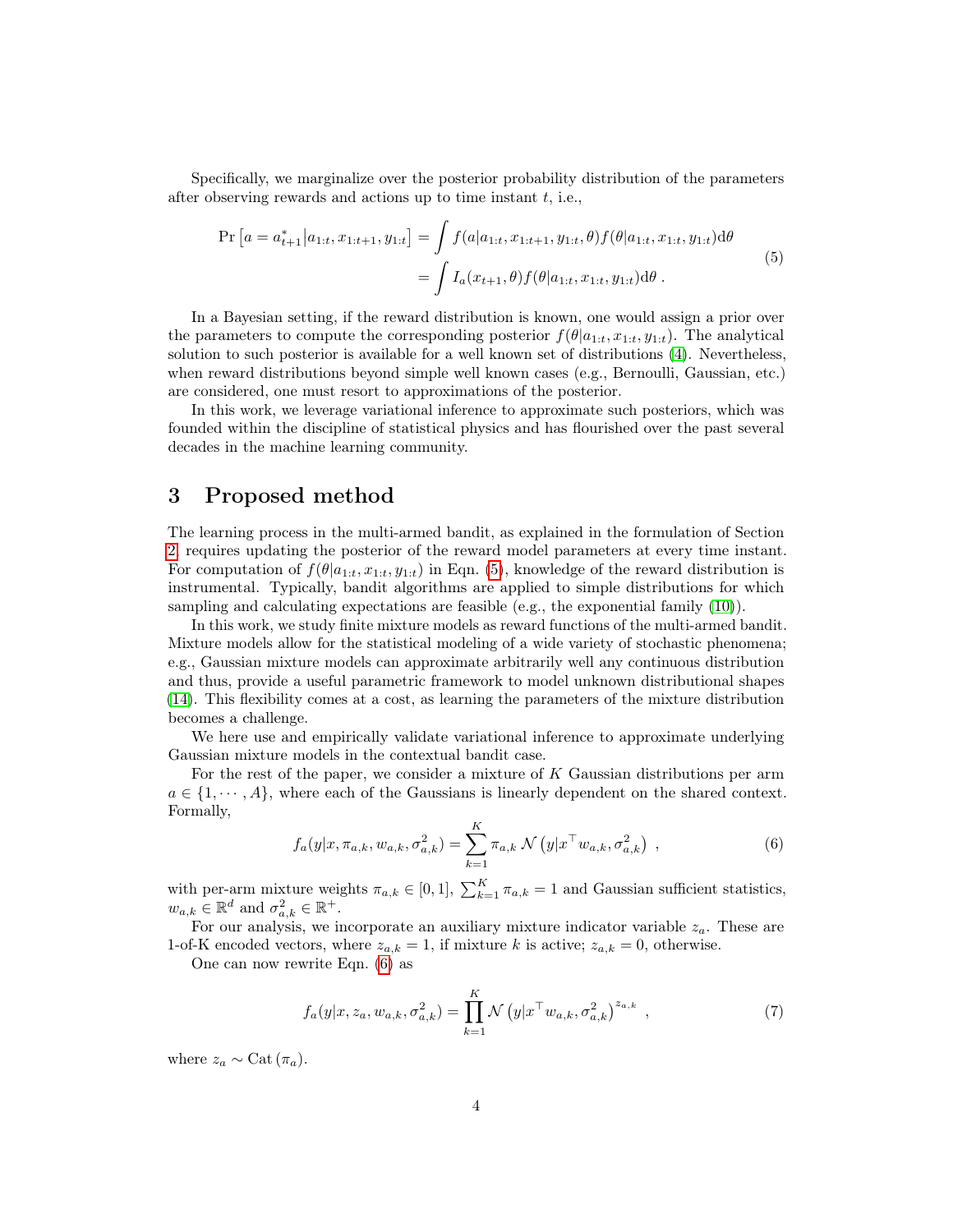Specifically, we marginalize over the posterior probability distribution of the parameters after observing rewards and actions up to time instant  $t$ , i.e.,

<span id="page-3-1"></span>
$$
\Pr\left[a=a_{t+1}^{*}|a_{1:t},x_{1:t+1},y_{1:t}\right] = \int f(a|a_{1:t},x_{1:t+1},y_{1:t},\theta)f(\theta|a_{1:t},x_{1:t},y_{1:t})d\theta
$$
\n
$$
= \int I_{a}(x_{t+1},\theta)f(\theta|a_{1:t},x_{1:t},y_{1:t})d\theta.
$$
\n(5)

In a Bayesian setting, if the reward distribution is known, one would assign a prior over the parameters to compute the corresponding posterior  $f(\theta|a_{1:t}, x_{1:t}, y_{1:t})$ . The analytical solution to such posterior is available for a well known set of distributions [\(4\)](#page-11-6). Nevertheless, when reward distributions beyond simple well known cases (e.g., Bernoulli, Gaussian, etc.) are considered, one must resort to approximations of the posterior.

In this work, we leverage variational inference to approximate such posteriors, which was founded within the discipline of statistical physics and has flourished over the past several decades in the machine learning community.

# <span id="page-3-0"></span>3 Proposed method

The learning process in the multi-armed bandit, as explained in the formulation of Section [2,](#page-2-0) requires updating the posterior of the reward model parameters at every time instant. For computation of  $f(\theta|a_{1:t}, x_{1:t}, y_{1:t})$  in Eqn. [\(5\)](#page-3-1), knowledge of the reward distribution is instrumental. Typically, bandit algorithms are applied to simple distributions for which sampling and calculating expectations are feasible (e.g., the exponential family [\(10\)](#page-12-7)).

In this work, we study finite mixture models as reward functions of the multi-armed bandit. Mixture models allow for the statistical modeling of a wide variety of stochastic phenomena; e.g., Gaussian mixture models can approximate arbitrarily well any continuous distribution and thus, provide a useful parametric framework to model unknown distributional shapes [\(14\)](#page-12-12). This flexibility comes at a cost, as learning the parameters of the mixture distribution becomes a challenge.

We here use and empirically validate variational inference to approximate underlying Gaussian mixture models in the contextual bandit case.

For the rest of the paper, we consider a mixture of K Gaussian distributions per arm  $a \in \{1, \dots, A\}$ , where each of the Gaussians is linearly dependent on the shared context. Formally,

<span id="page-3-2"></span>
$$
f_a(y|x, \pi_{a,k}, w_{a,k}, \sigma_{a,k}^2) = \sum_{k=1}^K \pi_{a,k} \mathcal{N}(y|x^{\top}w_{a,k}, \sigma_{a,k}^2) ,
$$
 (6)

with per-arm mixture weights  $\pi_{a,k} \in [0,1], \sum_{k=1}^{K} \pi_{a,k} = 1$  and Gaussian sufficient statistics,  $w_{a,k} \in \mathbb{R}^d$  and  $\sigma_{a,k}^2 \in \mathbb{R}^+$ .

For our analysis, we incorporate an auxiliary mixture indicator variable  $z_a$ . These are 1-of-K encoded vectors, where  $z_{a,k} = 1$ , if mixture k is active;  $z_{a,k} = 0$ , otherwise.

One can now rewrite Eqn. [\(6\)](#page-3-2) as

$$
f_a(y|x, z_a, w_{a,k}, \sigma_{a,k}^2) = \prod_{k=1}^K \mathcal{N}(y|x^\top w_{a,k}, \sigma_{a,k}^2)^{z_{a,k}}, \qquad (7)
$$

where  $z_a \sim$  Cat  $(\pi_a)$ .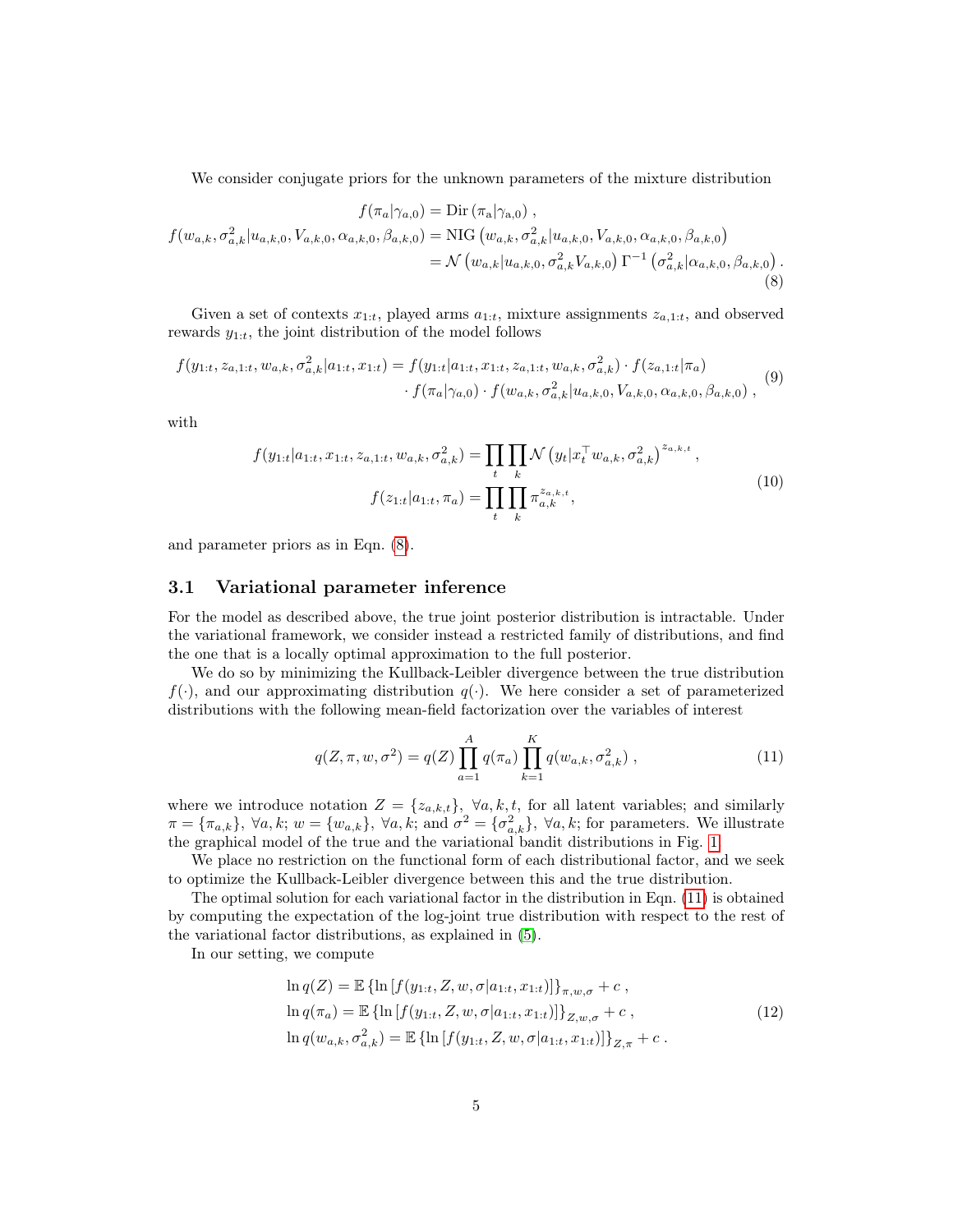<span id="page-4-0"></span>We consider conjugate priors for the unknown parameters of the mixture distribution

$$
f(\pi_a|\gamma_{a,0}) = \text{Dir} (\pi_a|\gamma_{a,0}),
$$
  
\n
$$
f(w_{a,k}, \sigma_{a,k}^2 | u_{a,k,0}, V_{a,k,0}, \alpha_{a,k,0}, \beta_{a,k,0}) = \text{NIG}(w_{a,k}, \sigma_{a,k}^2 | u_{a,k,0}, V_{a,k,0}, \alpha_{a,k,0}, \beta_{a,k,0})
$$
  
\n
$$
= \mathcal{N}(w_{a,k}|u_{a,k,0}, \sigma_{a,k}^2 V_{a,k,0}) \Gamma^{-1}(\sigma_{a,k}^2 | \alpha_{a,k,0}, \beta_{a,k,0}).
$$
\n(8)

Given a set of contexts  $x_{1:t}$ , played arms  $a_{1:t}$ , mixture assignments  $z_{a,1:t}$ , and observed rewards  $y_{1:t}$ , the joint distribution of the model follows

$$
f(y_{1:t}, z_{a,1:t}, w_{a,k}, \sigma_{a,k}^2 | a_{1:t}, x_{1:t}) = f(y_{1:t} | a_{1:t}, x_{1:t}, z_{a,1:t}, w_{a,k}, \sigma_{a,k}^2) \cdot f(z_{a,1:t} | \pi_a) \cdot f(\pi_a | \gamma_{a,0}) \cdot f(w_{a,k}, \sigma_{a,k}^2 | u_{a,k,0}, V_{a,k,0}, \alpha_{a,k,0}, \beta_{a,k,0}),
$$
(9)

with

$$
f(y_{1:t}|a_{1:t}, x_{1:t}, z_{a,1:t}, w_{a,k}, \sigma_{a,k}^2) = \prod_t \prod_k \mathcal{N}\left(y_t|x_t^\top w_{a,k}, \sigma_{a,k}^2\right)^{z_{a,k,t}},
$$

$$
f(z_{1:t}|a_{1:t}, \pi_a) = \prod_t \prod_k \pi_{a,k}^{z_{a,k,t}},
$$
(10)

and parameter priors as in Eqn. [\(8\)](#page-4-0).

#### <span id="page-4-2"></span>3.1 Variational parameter inference

For the model as described above, the true joint posterior distribution is intractable. Under the variational framework, we consider instead a restricted family of distributions, and find the one that is a locally optimal approximation to the full posterior.

We do so by minimizing the Kullback-Leibler divergence between the true distribution  $f(\cdot)$ , and our approximating distribution  $g(\cdot)$ . We here consider a set of parameterized distributions with the following mean-field factorization over the variables of interest

<span id="page-4-1"></span>
$$
q(Z, \pi, w, \sigma^2) = q(Z) \prod_{a=1}^{A} q(\pi_a) \prod_{k=1}^{K} q(w_{a,k}, \sigma^2_{a,k}), \qquad (11)
$$

where we introduce notation  $Z = \{z_{a,k,t}\}, \forall a, k, t$ , for all latent variables; and similarly  $\pi = {\pi_{a,k}}$ ,  $\forall a, k; w = {w_{a,k}}$ ,  $\forall a, k;$  and  $\sigma^2 = {\sigma_{a,k}^2}$ ,  $\forall a, k;$  for parameters. We illustrate the graphical model of the true and the variational bandit distributions in Fig. [1.](#page-5-0)

We place no restriction on the functional form of each distributional factor, and we seek to optimize the Kullback-Leibler divergence between this and the true distribution.

The optimal solution for each variational factor in the distribution in Eqn. [\(11\)](#page-4-1) is obtained by computing the expectation of the log-joint true distribution with respect to the rest of the variational factor distributions, as explained in [\(5\)](#page-11-3).

In our setting, we compute

$$
\ln q(Z) = \mathbb{E} \{ \ln \left[ f(y_{1:t}, Z, w, \sigma | a_{1:t}, x_{1:t}) \right] \}_{\pi, w, \sigma} + c ,
$$
  
\n
$$
\ln q(\pi_a) = \mathbb{E} \{ \ln \left[ f(y_{1:t}, Z, w, \sigma | a_{1:t}, x_{1:t}) \right] \}_{Z, w, \sigma} + c ,
$$
  
\n
$$
\ln q(w_{a,k}, \sigma_{a,k}^2) = \mathbb{E} \{ \ln \left[ f(y_{1:t}, Z, w, \sigma | a_{1:t}, x_{1:t}) \right] \}_{Z, \pi} + c .
$$
\n(12)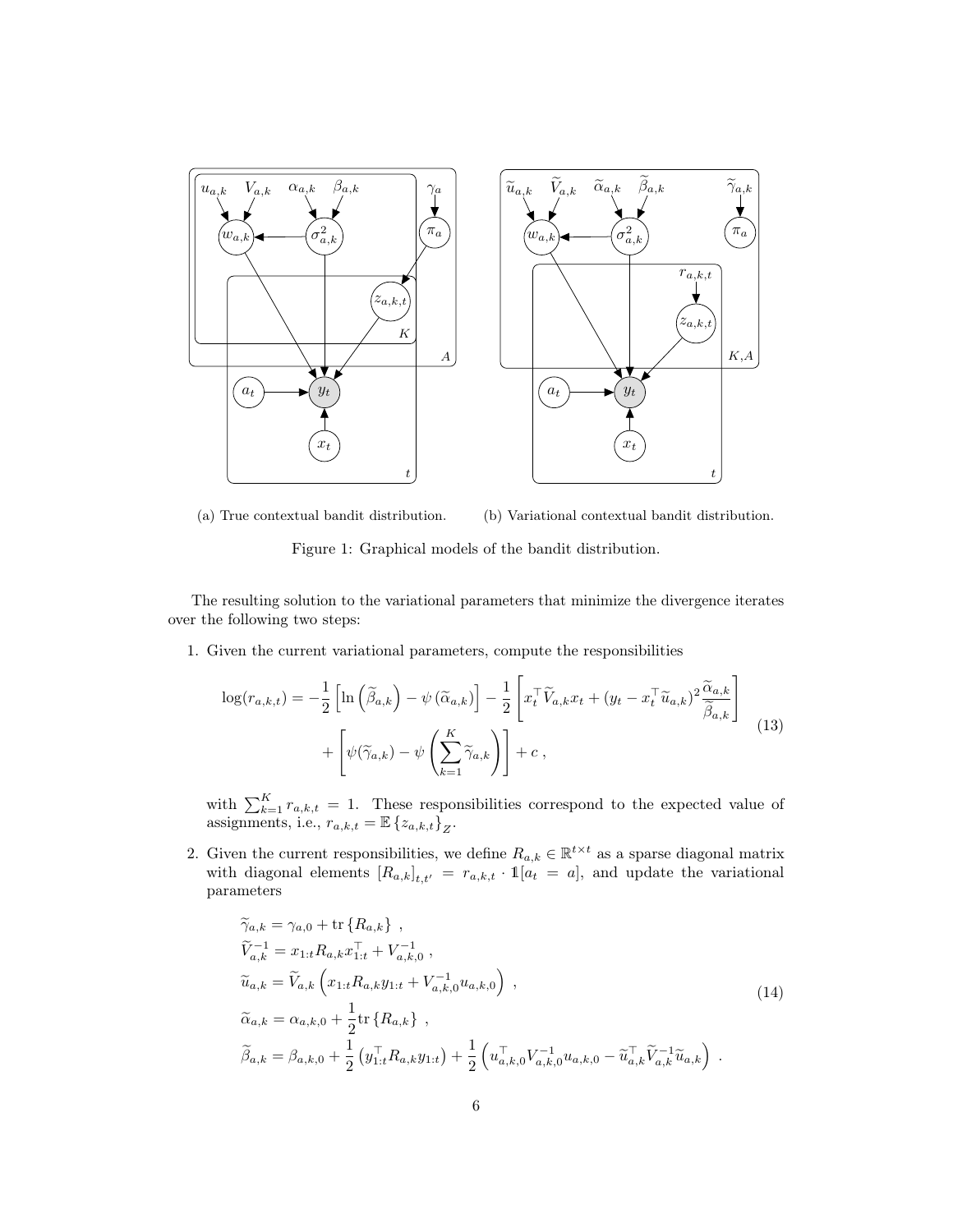<span id="page-5-0"></span>

(a) True contextual bandit distribution. (b) Variational contextual bandit distribution.

Figure 1: Graphical models of the bandit distribution.

The resulting solution to the variational parameters that minimize the divergence iterates over the following two steps:

1. Given the current variational parameters, compute the responsibilities

$$
\log(r_{a,k,t}) = -\frac{1}{2} \left[ \ln\left(\tilde{\beta}_{a,k}\right) - \psi\left(\tilde{\alpha}_{a,k}\right) \right] - \frac{1}{2} \left[ x_t^\top \tilde{V}_{a,k} x_t + (y_t - x_t^\top \tilde{u}_{a,k})^2 \frac{\tilde{\alpha}_{a,k}}{\tilde{\beta}_{a,k}} \right] + \left[ \psi(\tilde{\gamma}_{a,k}) - \psi\left(\sum_{k=1}^K \tilde{\gamma}_{a,k}\right) \right] + c \,, \tag{13}
$$

with  $\sum_{k=1}^{K} r_{a,k,t} = 1$ . These responsibilities correspond to the expected value of assignments, i.e.,  $r_{a,k,t} = \mathbb{E} \{z_{a,k,t}\}_Z$ .

2. Given the current responsibilities, we define  $R_{a,k} \in \mathbb{R}^{t \times t}$  as a sparse diagonal matrix with diagonal elements  $[R_{a,k}]_{t,t'} = r_{a,k,t} \cdot \mathbb{1}[a_t = a]$ , and update the variational parameters

$$
\widetilde{\gamma}_{a,k} = \gamma_{a,0} + \text{tr}\{R_{a,k}\},
$$
\n
$$
\widetilde{V}_{a,k}^{-1} = x_{1:t}R_{a,k}x_{1:t}^{\top} + V_{a,k,0}^{-1},
$$
\n
$$
\widetilde{u}_{a,k} = \widetilde{V}_{a,k}\left(x_{1:t}R_{a,k}y_{1:t} + V_{a,k,0}^{-1}u_{a,k,0}\right),
$$
\n
$$
\widetilde{\alpha}_{a,k} = \alpha_{a,k,0} + \frac{1}{2}\text{tr}\{R_{a,k}\},
$$
\n
$$
\widetilde{\beta}_{a,k} = \beta_{a,k,0} + \frac{1}{2}\left(y_{1:t}^{\top}R_{a,k}y_{1:t}\right) + \frac{1}{2}\left(u_{a,k,0}^{\top}V_{a,k,0}^{-1}u_{a,k,0} - \widetilde{u}_{a,k}^{\top}\widetilde{V}_{a,k}^{-1}\widetilde{u}_{a,k}\right).
$$
\n(14)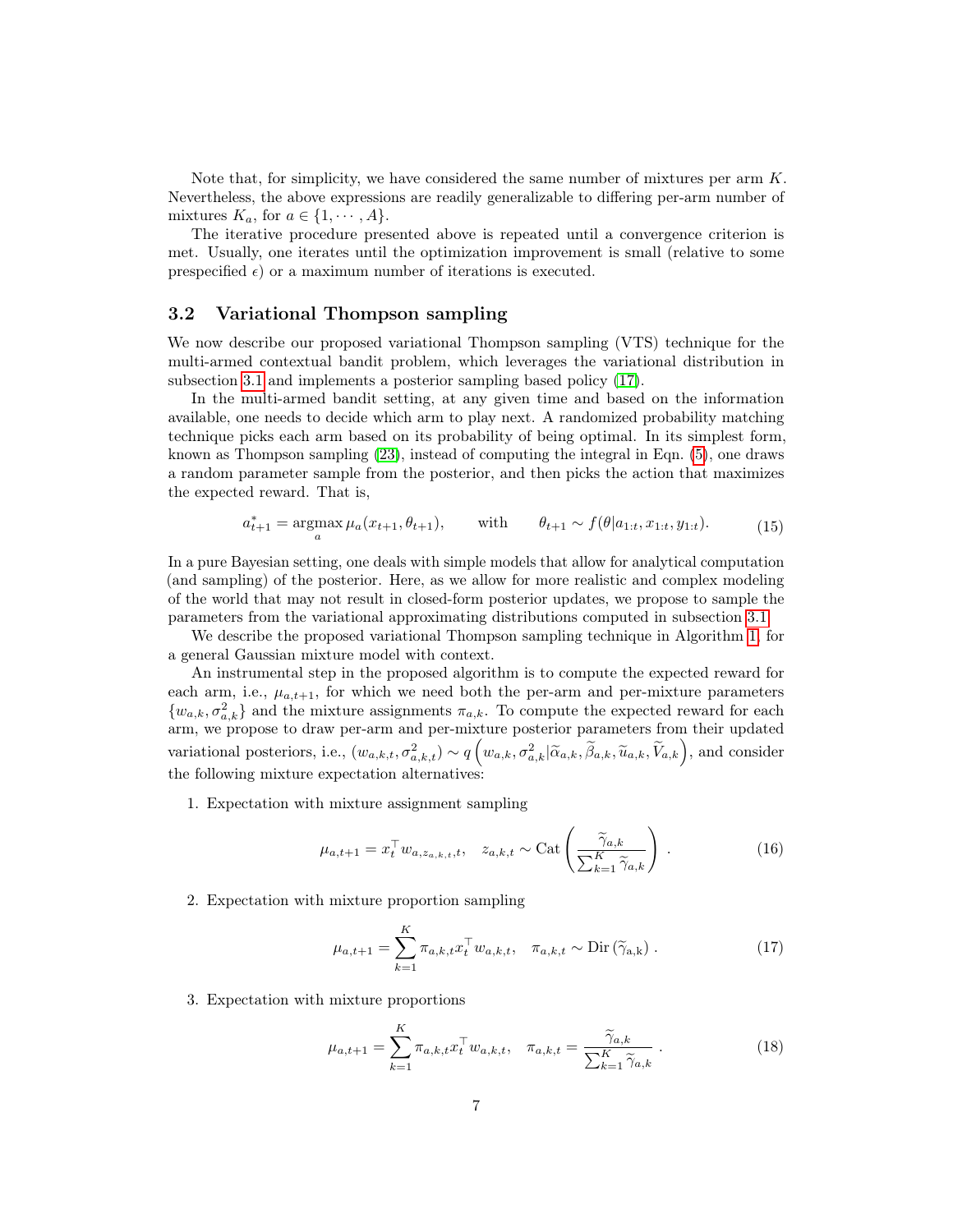Note that, for simplicity, we have considered the same number of mixtures per arm  $K$ . Nevertheless, the above expressions are readily generalizable to differing per-arm number of mixtures  $K_a$ , for  $a \in \{1, \dots, A\}$ .

The iterative procedure presented above is repeated until a convergence criterion is met. Usually, one iterates until the optimization improvement is small (relative to some prespecified  $\epsilon$ ) or a maximum number of iterations is executed.

#### <span id="page-6-0"></span>3.2 Variational Thompson sampling

We now describe our proposed variational Thompson sampling (VTS) technique for the multi-armed contextual bandit problem, which leverages the variational distribution in subsection [3.1](#page-4-2) and implements a posterior sampling based policy [\(17\)](#page-12-8).

In the multi-armed bandit setting, at any given time and based on the information available, one needs to decide which arm to play next. A randomized probability matching technique picks each arm based on its probability of being optimal. In its simplest form, known as Thompson sampling [\(23\)](#page-13-2), instead of computing the integral in Eqn. [\(5\)](#page-3-1), one draws a random parameter sample from the posterior, and then picks the action that maximizes the expected reward. That is,

$$
a_{t+1}^* = \operatorname*{argmax}_{a} \mu_a(x_{t+1}, \theta_{t+1}), \quad \text{with} \quad \theta_{t+1} \sim f(\theta | a_{1:t}, x_{1:t}, y_{1:t}). \tag{15}
$$

In a pure Bayesian setting, one deals with simple models that allow for analytical computation (and sampling) of the posterior. Here, as we allow for more realistic and complex modeling of the world that may not result in closed-form posterior updates, we propose to sample the parameters from the variational approximating distributions computed in subsection [3.1.](#page-4-2)

We describe the proposed variational Thompson sampling technique in Algorithm [1,](#page-7-0) for a general Gaussian mixture model with context.

An instrumental step in the proposed algorithm is to compute the expected reward for each arm, i.e.,  $\mu_{a,t+1}$ , for which we need both the per-arm and per-mixture parameters  $\{w_{a,k}, \sigma_{a,k}^2\}$  and the mixture assignments  $\pi_{a,k}$ . To compute the expected reward for each arm, we propose to draw per-arm and per-mixture posterior parameters from their updated variational posteriors, i.e.,  $(w_{a,k,t}, \sigma_{a,k,t}^2) \sim q\left(w_{a,k}, \sigma_{a,k}^2 | \widetilde{\alpha}_{a,k}, \widetilde{\beta}_{a,k}, \widetilde{u}_{a,k}, \widetilde{V}_{a,k}\right)$ , and consider the following mixture expectation alternatives:

1. Expectation with mixture assignment sampling

$$
\mu_{a,t+1} = x_t^\top w_{a,z_{a,k,t},t}, \quad z_{a,k,t} \sim \text{Cat}\left(\frac{\tilde{\gamma}_{a,k}}{\sum_{k=1}^K \tilde{\gamma}_{a,k}}\right). \tag{16}
$$

2. Expectation with mixture proportion sampling

$$
\mu_{a,t+1} = \sum_{k=1}^{K} \pi_{a,k,t} x_t^{\top} w_{a,k,t}, \quad \pi_{a,k,t} \sim \text{Dir}\left(\widetilde{\gamma}_{a,k}\right). \tag{17}
$$

3. Expectation with mixture proportions

$$
\mu_{a,t+1} = \sum_{k=1}^{K} \pi_{a,k,t} x_t^{\top} w_{a,k,t}, \quad \pi_{a,k,t} = \frac{\widetilde{\gamma}_{a,k}}{\sum_{k=1}^{K} \widetilde{\gamma}_{a,k}}.
$$
\n(18)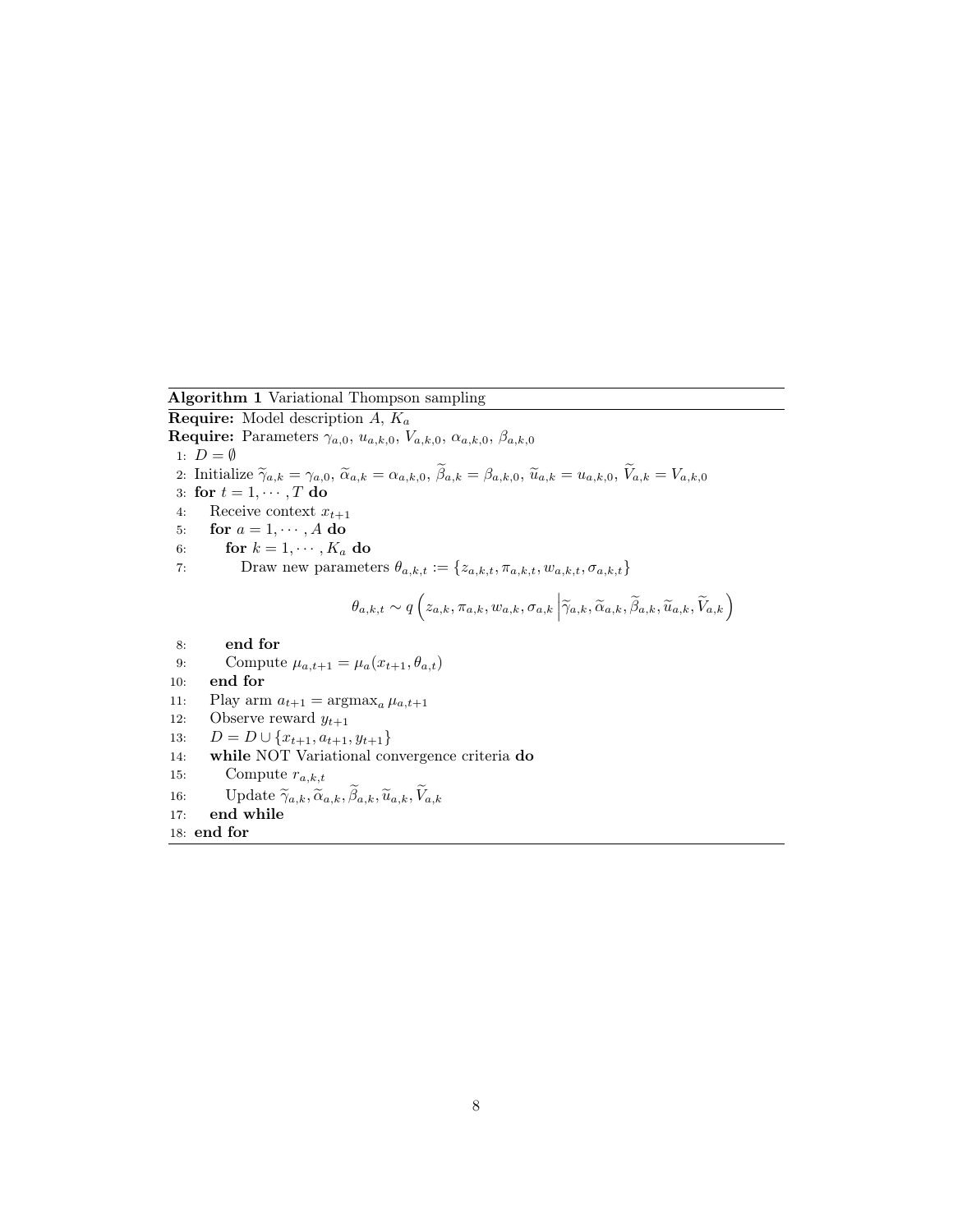<span id="page-7-0"></span>Algorithm 1 Variational Thompson sampling

**Require:** Model description  $A$ ,  $K_a$ 

Require: Parameters  $\gamma_{a,0}, u_{a,k,0}, V_{a,k,0}, \alpha_{a,k,0}, \beta_{a,k,0}$ 

1:  $D = \emptyset$ 

- 2: Initialize  $\widetilde{\gamma}_{a,k} = \gamma_{a,0}, \, \widetilde{\alpha}_{a,k} = \alpha_{a,k,0}, \, \widetilde{\beta}_{a,k} = \beta_{a,k,0}, \, \widetilde{u}_{a,k} = u_{a,k,0}, \, \widetilde{V}_{a,k} = V_{a,k,0}$
- 3: for  $t = 1, \dots, T$  do<br>4: Receive context x
- Receive context  $x_{t+1}$
- 5: for  $a = 1, \dots, A$  do<br>6: for  $k = 1, \dots, K_a$
- 6: **for**  $k = 1, \dots, K_a$  **do**<br>7: Draw new parameters
- Draw new parameters  $\theta_{a,k,t} := \{z_{a,k,t}, \pi_{a,k,t}, w_{a,k,t}, \sigma_{a,k,t}\}$

$$
\theta_{a,k,t} \sim q\left(z_{a,k}, \pi_{a,k}, w_{a,k}, \sigma_{a,k} \middle| \widetilde{\gamma}_{a,k}, \widetilde{\alpha}_{a,k}, \widetilde{\beta}_{a,k}, \widetilde{u}_{a,k}, \widetilde{V}_{a,k}\right)
$$

- 8: end for
- 9: Compute  $\mu_{a,t+1} = \mu_a(x_{t+1}, \theta_{a,t})$
- 10: end for
- 11: Play arm  $a_{t+1} = \arg \max_a \mu_{a,t+1}$ <br>12: Observe reward  $y_{t+1}$
- Observe reward  $y_{t+1}$
- 13:  $D = D \cup \{x_{t+1}, a_{t+1}, y_{t+1}\}$ <br>14: **while** NOT Variational con-
- while NOT Variational convergence criteria do
- 15: Compute  $r_{a,k,t}$
- 16: Update  $\widetilde{\gamma}_{a,k}, \widetilde{\alpha}_{a,k}, \widetilde{\beta}_{a,k}, \widetilde{u}_{a,k}, \widetilde{V}_{a,k}$ <br>17: **end while**
- end while
- 18: end for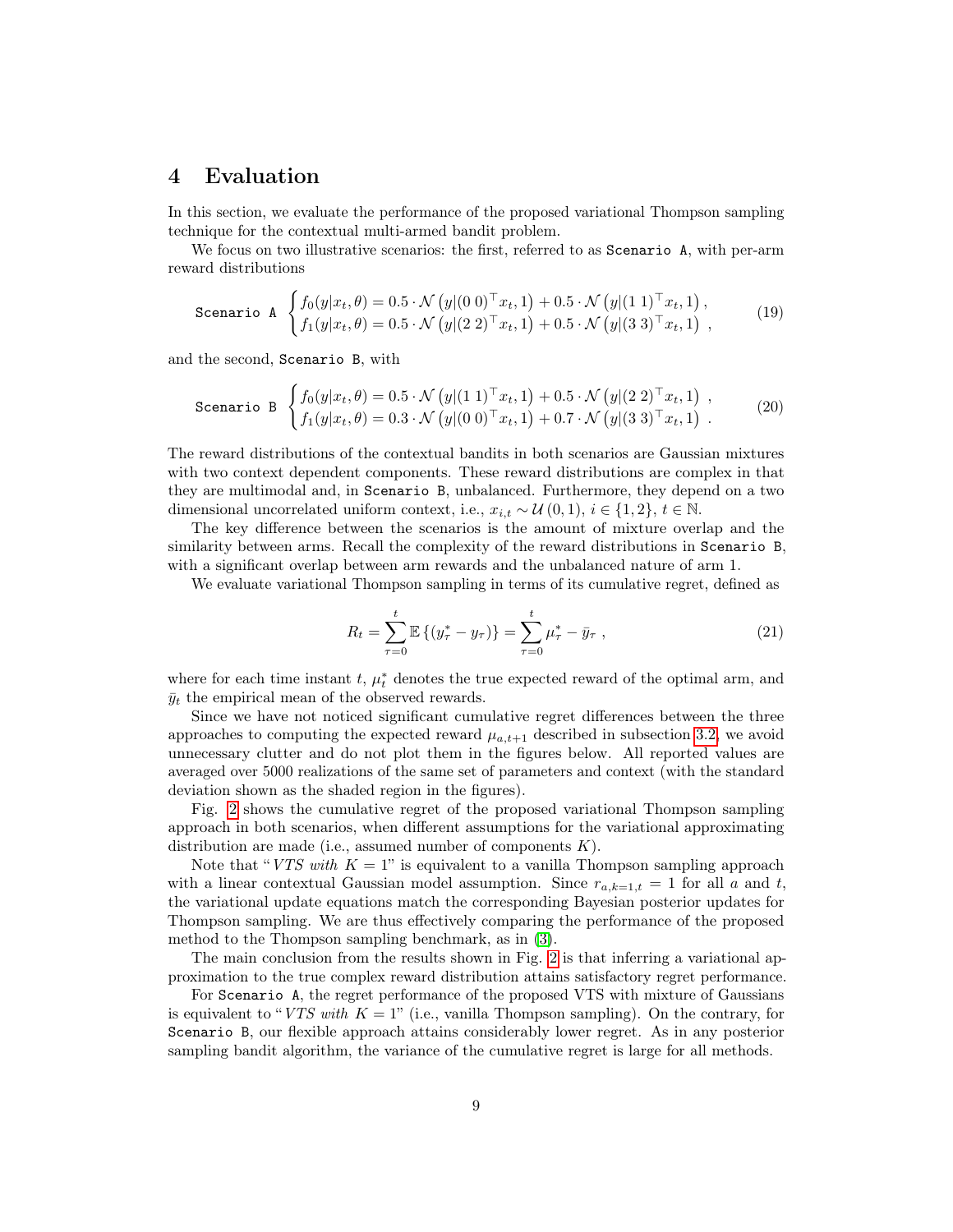## <span id="page-8-0"></span>4 Evaluation

In this section, we evaluate the performance of the proposed variational Thompson sampling technique for the contextual multi-armed bandit problem.

We focus on two illustrative scenarios: the first, referred to as Scenario A, with per-arm reward distributions

$$
\text{Scenario A} \quad \begin{cases} f_0(y|x_t, \theta) = 0.5 \cdot \mathcal{N}(y|(0\ 0)^\top x_t, 1) + 0.5 \cdot \mathcal{N}(y|(1\ 1)^\top x_t, 1), \\ f_1(y|x_t, \theta) = 0.5 \cdot \mathcal{N}(y|(2\ 2)^\top x_t, 1) + 0.5 \cdot \mathcal{N}(y|(3\ 3)^\top x_t, 1) \end{cases} \tag{19}
$$

and the second, Scenario B, with

<span id="page-8-1"></span>Scenario B 
$$
\begin{cases} f_0(y|x_t, \theta) = 0.5 \cdot \mathcal{N}(y|(1\ 1)^{\top}x_t, 1) + 0.5 \cdot \mathcal{N}(y|(2\ 2)^{\top}x_t, 1) , \\ f_1(y|x_t, \theta) = 0.3 \cdot \mathcal{N}(y|(0\ 0)^{\top}x_t, 1) + 0.7 \cdot \mathcal{N}(y|(3\ 3)^{\top}x_t, 1) . \end{cases}
$$
 (20)

The reward distributions of the contextual bandits in both scenarios are Gaussian mixtures with two context dependent components. These reward distributions are complex in that they are multimodal and, in Scenario B, unbalanced. Furthermore, they depend on a two dimensional uncorrelated uniform context, i.e.,  $x_{i,t} \sim \mathcal{U}(0,1), i \in \{1,2\}, t \in \mathbb{N}$ .

The key difference between the scenarios is the amount of mixture overlap and the similarity between arms. Recall the complexity of the reward distributions in Scenario B, with a significant overlap between arm rewards and the unbalanced nature of arm 1.

We evaluate variational Thompson sampling in terms of its cumulative regret, defined as

$$
R_t = \sum_{\tau=0}^t \mathbb{E}\left\{(y_{\tau}^* - y_{\tau})\right\} = \sum_{\tau=0}^t \mu_{\tau}^* - \bar{y}_{\tau} , \qquad (21)
$$

where for each time instant t,  $\mu_t^*$  denotes the true expected reward of the optimal arm, and  $\bar{y}_t$  the empirical mean of the observed rewards.

Since we have not noticed significant cumulative regret differences between the three approaches to computing the expected reward  $\mu_{a,t+1}$  described in subsection [3.2,](#page-6-0) we avoid unnecessary clutter and do not plot them in the figures below. All reported values are averaged over 5000 realizations of the same set of parameters and context (with the standard deviation shown as the shaded region in the figures).

Fig. [2](#page-9-0) shows the cumulative regret of the proposed variational Thompson sampling approach in both scenarios, when different assumptions for the variational approximating distribution are made (i.e., assumed number of components  $K$ ).

Note that "VTS with  $K = 1$ " is equivalent to a vanilla Thompson sampling approach with a linear contextual Gaussian model assumption. Since  $r_{a,k=1,t} = 1$  for all a and t, the variational update equations match the corresponding Bayesian posterior updates for Thompson sampling. We are thus effectively comparing the performance of the proposed method to the Thompson sampling benchmark, as in [\(3\)](#page-11-2).

The main conclusion from the results shown in Fig. [2](#page-9-0) is that inferring a variational approximation to the true complex reward distribution attains satisfactory regret performance.

For Scenario A, the regret performance of the proposed VTS with mixture of Gaussians is equivalent to "VTS with  $K = 1$ " (i.e., vanilla Thompson sampling). On the contrary, for Scenario B, our flexible approach attains considerably lower regret. As in any posterior sampling bandit algorithm, the variance of the cumulative regret is large for all methods.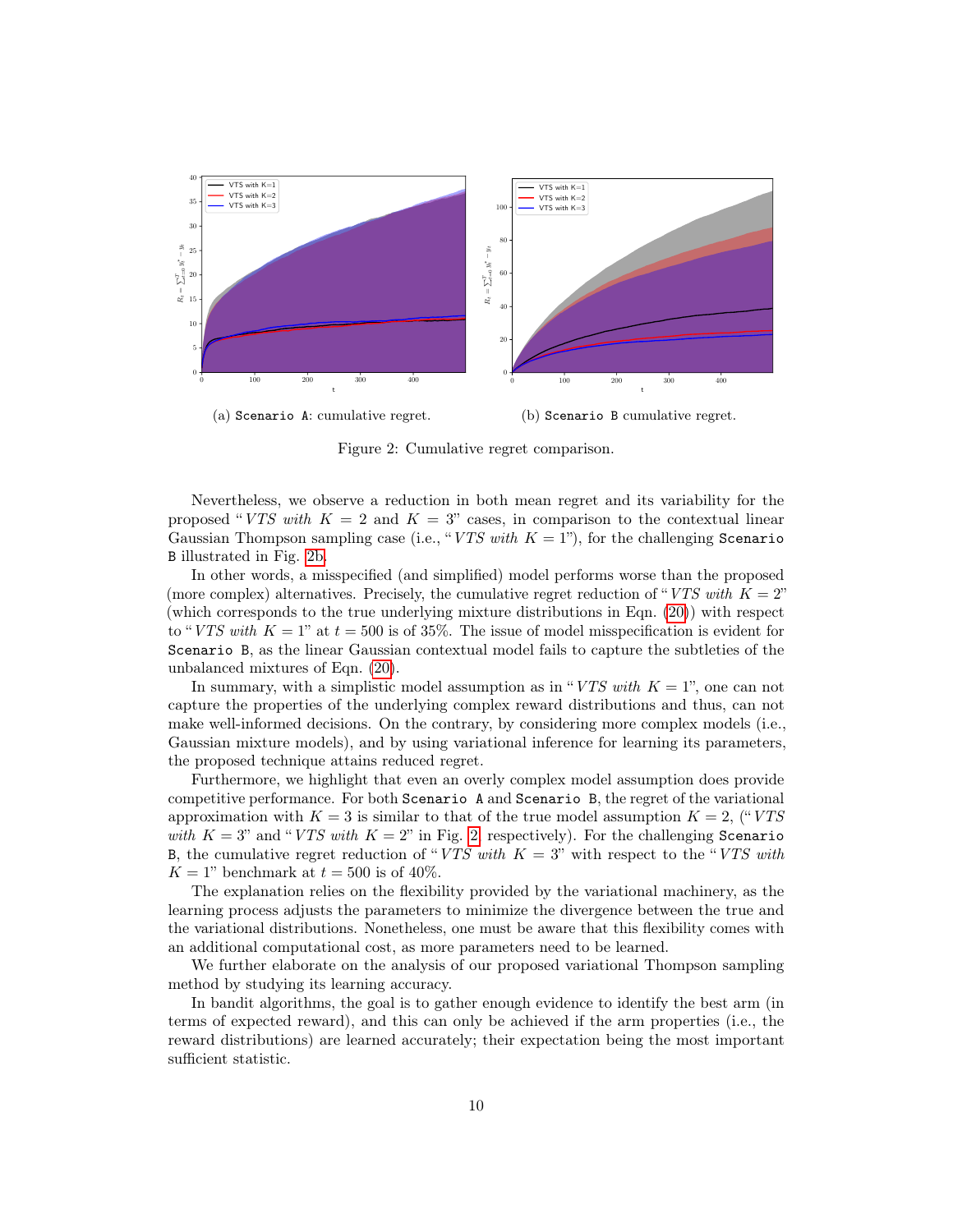<span id="page-9-0"></span>

Figure 2: Cumulative regret comparison.

Nevertheless, we observe a reduction in both mean regret and its variability for the proposed "VTS with  $K = 2$  and  $K = 3$ " cases, in comparison to the contextual linear Gaussian Thompson sampling case (i.e., "VTS with  $K = 1$ "), for the challenging Scenario B illustrated in Fig. [2b.](#page-9-0)

In other words, a misspecified (and simplified) model performs worse than the proposed (more complex) alternatives. Precisely, the cumulative regret reduction of "VTS with  $K = 2$ " (which corresponds to the true underlying mixture distributions in Eqn. [\(20\)](#page-8-1)) with respect to "VTS with  $K = 1$ " at  $t = 500$  is of 35%. The issue of model misspecification is evident for Scenario B, as the linear Gaussian contextual model fails to capture the subtleties of the unbalanced mixtures of Eqn. [\(20\)](#page-8-1).

In summary, with a simplistic model assumption as in "VTS with  $K = 1$ ", one can not capture the properties of the underlying complex reward distributions and thus, can not make well-informed decisions. On the contrary, by considering more complex models (i.e., Gaussian mixture models), and by using variational inference for learning its parameters, the proposed technique attains reduced regret.

Furthermore, we highlight that even an overly complex model assumption does provide competitive performance. For both Scenario A and Scenario B, the regret of the variational approximation with  $K = 3$  is similar to that of the true model assumption  $K = 2$ , ("VTS with  $K = 3$ " and "VTS with  $K = 2$ " in Fig. [2,](#page-9-0) respectively). For the challenging Scenario B, the cumulative regret reduction of "VTS with  $K = 3$ " with respect to the "VTS with  $K = 1$ " benchmark at  $t = 500$  is of 40%.

The explanation relies on the flexibility provided by the variational machinery, as the learning process adjusts the parameters to minimize the divergence between the true and the variational distributions. Nonetheless, one must be aware that this flexibility comes with an additional computational cost, as more parameters need to be learned.

We further elaborate on the analysis of our proposed variational Thompson sampling method by studying its learning accuracy.

In bandit algorithms, the goal is to gather enough evidence to identify the best arm (in terms of expected reward), and this can only be achieved if the arm properties (i.e., the reward distributions) are learned accurately; their expectation being the most important sufficient statistic.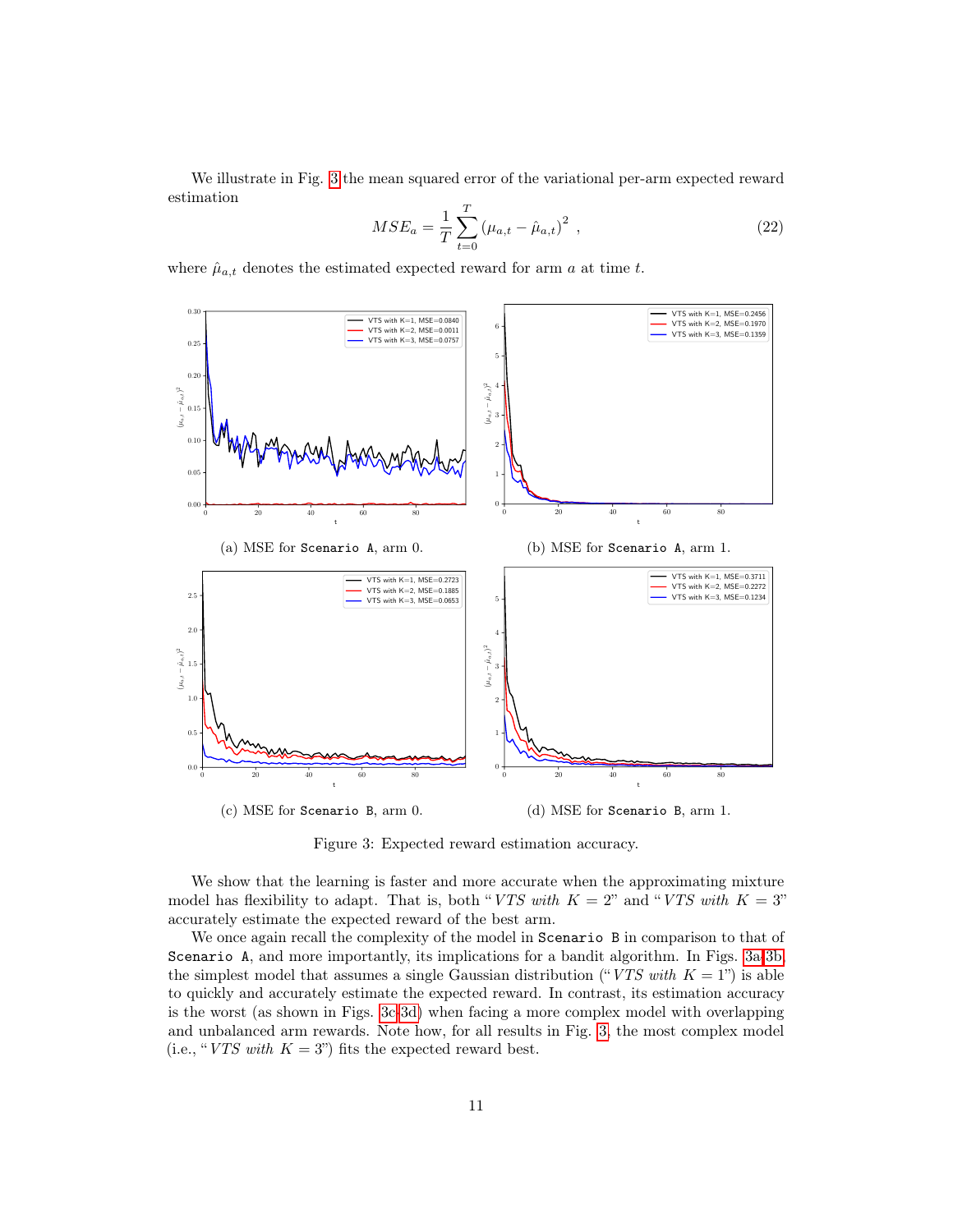We illustrate in Fig. [3](#page-10-0) the mean squared error of the variational per-arm expected reward estimation

$$
MSE_a = \frac{1}{T} \sum_{t=0}^{T} (\mu_{a,t} - \hat{\mu}_{a,t})^2 , \qquad (22)
$$

where  $\hat{\mu}_{a,t}$  denotes the estimated expected reward for arm a at time t.

<span id="page-10-0"></span>

Figure 3: Expected reward estimation accuracy.

We show that the learning is faster and more accurate when the approximating mixture model has flexibility to adapt. That is, both "VTS with  $K = 2$ " and "VTS with  $K = 3$ " accurately estimate the expected reward of the best arm.

We once again recall the complexity of the model in Scenario B in comparison to that of Scenario A, and more importantly, its implications for a bandit algorithm. In Figs. [3a-3b,](#page-10-0) the simplest model that assumes a single Gaussian distribution ("VTS with  $K = 1$ ") is able to quickly and accurately estimate the expected reward. In contrast, its estimation accuracy is the worst (as shown in Figs. [3c-3d\)](#page-10-0) when facing a more complex model with overlapping and unbalanced arm rewards. Note how, for all results in Fig. [3,](#page-10-0) the most complex model (i.e., "VTS with  $K = 3$ ") fits the expected reward best.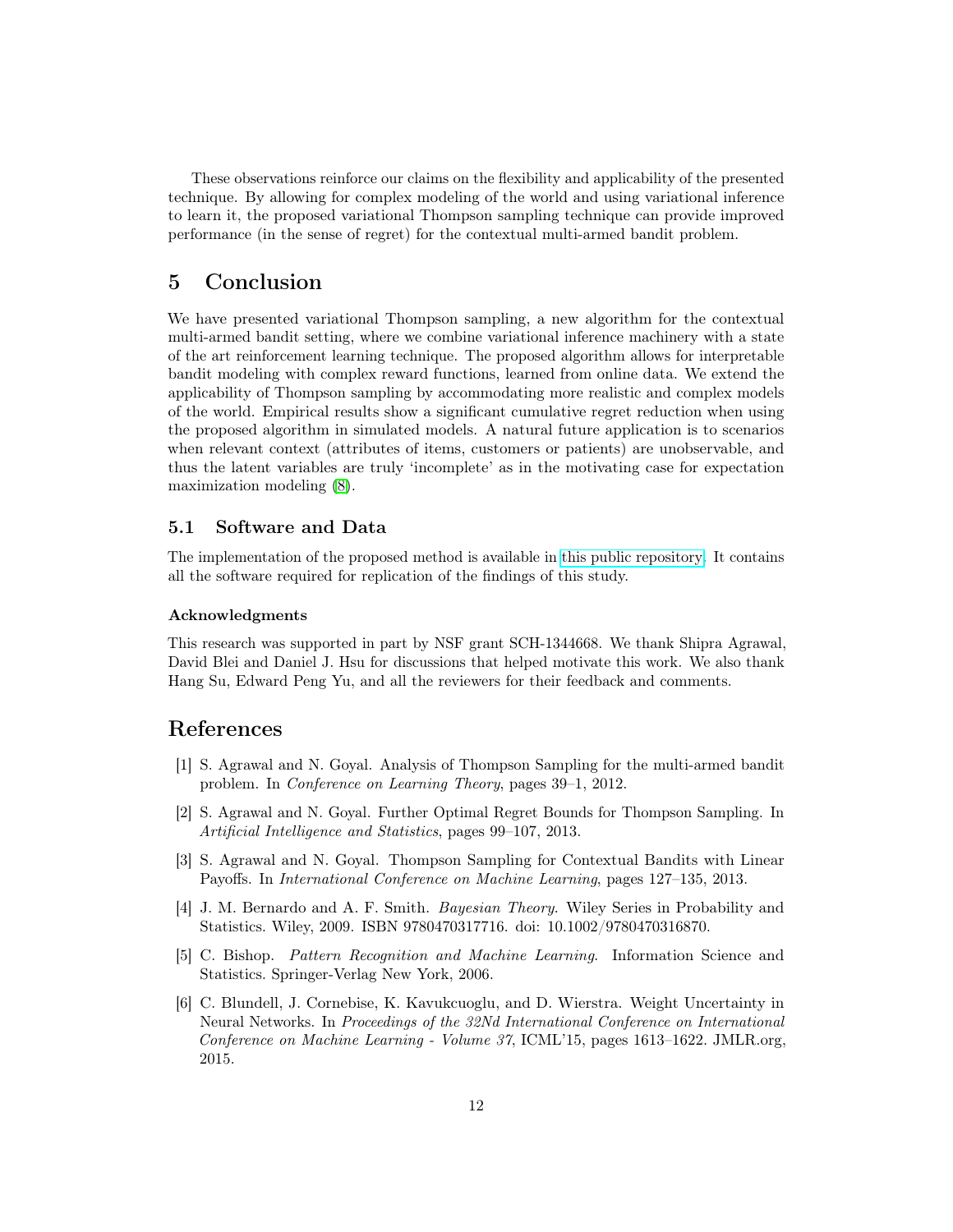These observations reinforce our claims on the flexibility and applicability of the presented technique. By allowing for complex modeling of the world and using variational inference to learn it, the proposed variational Thompson sampling technique can provide improved performance (in the sense of regret) for the contextual multi-armed bandit problem.

# <span id="page-11-5"></span>5 Conclusion

We have presented variational Thompson sampling, a new algorithm for the contextual multi-armed bandit setting, where we combine variational inference machinery with a state of the art reinforcement learning technique. The proposed algorithm allows for interpretable bandit modeling with complex reward functions, learned from online data. We extend the applicability of Thompson sampling by accommodating more realistic and complex models of the world. Empirical results show a significant cumulative regret reduction when using the proposed algorithm in simulated models. A natural future application is to scenarios when relevant context (attributes of items, customers or patients) are unobservable, and thus the latent variables are truly 'incomplete' as in the motivating case for expectation maximization modeling [\(8\)](#page-12-13).

#### 5.1 Software and Data

The implementation of the proposed method is available in [this public repository.](https://github.com/iurteaga/bandits) It contains all the software required for replication of the findings of this study.

#### Acknowledgments

This research was supported in part by NSF grant SCH-1344668. We thank Shipra Agrawal, David Blei and Daniel J. Hsu for discussions that helped motivate this work. We also thank Hang Su, Edward Peng Yu, and all the reviewers for their feedback and comments.

## References

- <span id="page-11-0"></span>[1] S. Agrawal and N. Goyal. Analysis of Thompson Sampling for the multi-armed bandit problem. In Conference on Learning Theory, pages 39–1, 2012.
- <span id="page-11-1"></span>[2] S. Agrawal and N. Goyal. Further Optimal Regret Bounds for Thompson Sampling. In Artificial Intelligence and Statistics, pages 99–107, 2013.
- <span id="page-11-2"></span>[3] S. Agrawal and N. Goyal. Thompson Sampling for Contextual Bandits with Linear Payoffs. In International Conference on Machine Learning, pages 127–135, 2013.
- <span id="page-11-6"></span>[4] J. M. Bernardo and A. F. Smith. Bayesian Theory. Wiley Series in Probability and Statistics. Wiley, 2009. ISBN 9780470317716. doi: 10.1002/9780470316870.
- <span id="page-11-3"></span>[5] C. Bishop. Pattern Recognition and Machine Learning. Information Science and Statistics. Springer-Verlag New York, 2006.
- <span id="page-11-4"></span>[6] C. Blundell, J. Cornebise, K. Kavukcuoglu, and D. Wierstra. Weight Uncertainty in Neural Networks. In Proceedings of the 32Nd International Conference on International Conference on Machine Learning - Volume 37, ICML'15, pages 1613–1622. JMLR.org, 2015.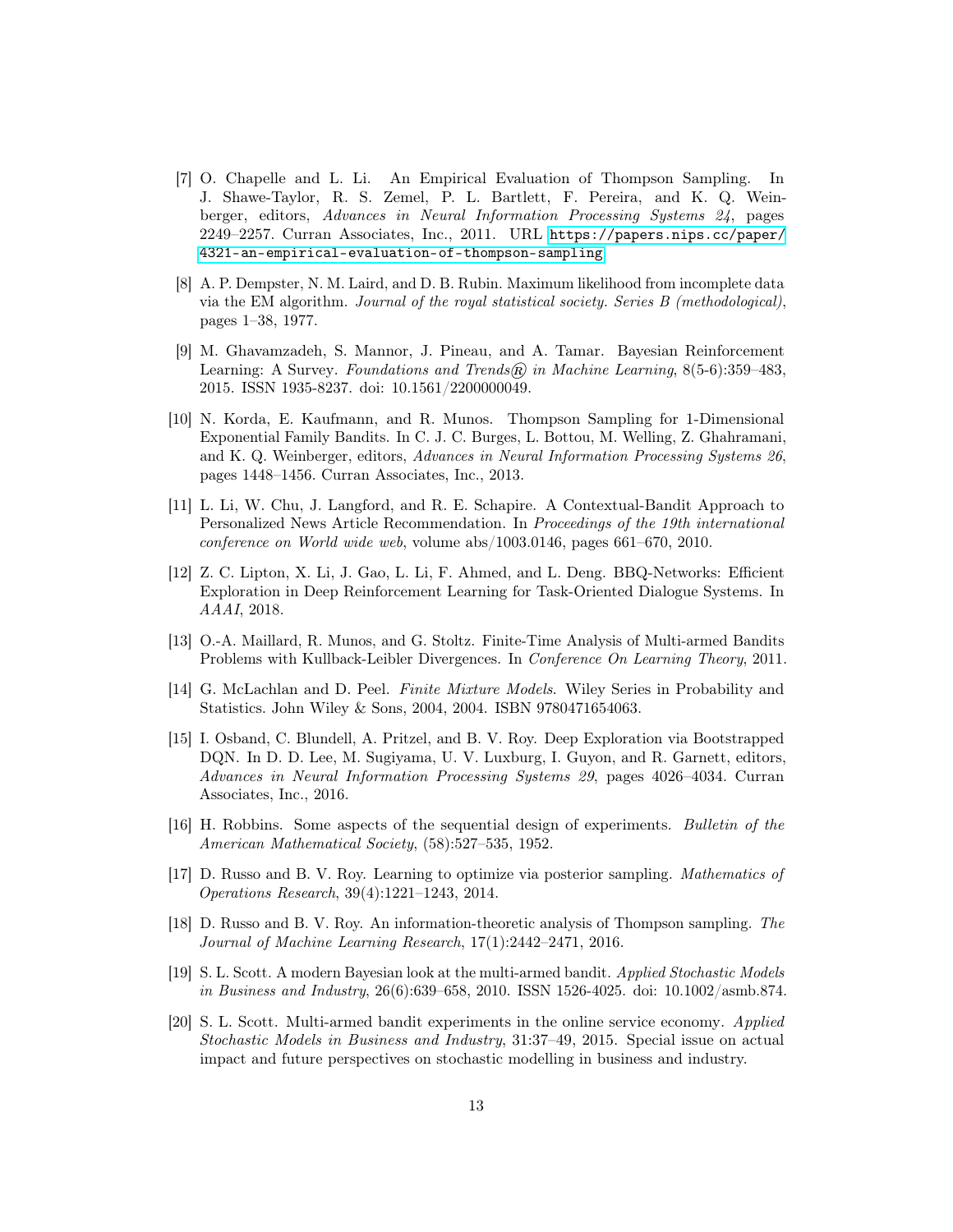- <span id="page-12-2"></span>[7] O. Chapelle and L. Li. An Empirical Evaluation of Thompson Sampling. In J. Shawe-Taylor, R. S. Zemel, P. L. Bartlett, F. Pereira, and K. Q. Weinberger, editors, Advances in Neural Information Processing Systems 24, pages 2249–2257. Curran Associates, Inc., 2011. URL [https://papers.nips.cc/paper/](https://papers.nips.cc/paper/4321-an-empirical-evaluation-of-thompson-sampling) [4321-an-empirical-evaluation-of-thompson-sampling](https://papers.nips.cc/paper/4321-an-empirical-evaluation-of-thompson-sampling).
- <span id="page-12-13"></span>[8] A. P. Dempster, N. M. Laird, and D. B. Rubin. Maximum likelihood from incomplete data via the EM algorithm. Journal of the royal statistical society. Series B (methodological), pages 1–38, 1977.
- <span id="page-12-0"></span>[9] M. Ghavamzadeh, S. Mannor, J. Pineau, and A. Tamar. Bayesian Reinforcement Learning: A Survey. Foundations and Trends $\widehat{R}$  in Machine Learning, 8(5-6):359–483, 2015. ISSN 1935-8237. doi: 10.1561/2200000049.
- <span id="page-12-7"></span>[10] N. Korda, E. Kaufmann, and R. Munos. Thompson Sampling for 1-Dimensional Exponential Family Bandits. In C. J. C. Burges, L. Bottou, M. Welling, Z. Ghahramani, and K. Q. Weinberger, editors, Advances in Neural Information Processing Systems 26, pages 1448–1456. Curran Associates, Inc., 2013.
- <span id="page-12-4"></span>[11] L. Li, W. Chu, J. Langford, and R. E. Schapire. A Contextual-Bandit Approach to Personalized News Article Recommendation. In Proceedings of the 19th international conference on World wide web, volume abs/1003.0146, pages 661–670, 2010.
- <span id="page-12-10"></span>[12] Z. C. Lipton, X. Li, J. Gao, L. Li, F. Ahmed, and L. Deng. BBQ-Networks: Efficient Exploration in Deep Reinforcement Learning for Task-Oriented Dialogue Systems. In AAAI, 2018.
- <span id="page-12-5"></span>[13] O.-A. Maillard, R. Munos, and G. Stoltz. Finite-Time Analysis of Multi-armed Bandits Problems with Kullback-Leibler Divergences. In Conference On Learning Theory, 2011.
- <span id="page-12-12"></span>[14] G. McLachlan and D. Peel. Finite Mixture Models. Wiley Series in Probability and Statistics. John Wiley & Sons, 2004, 2004. ISBN 9780471654063.
- <span id="page-12-11"></span>[15] I. Osband, C. Blundell, A. Pritzel, and B. V. Roy. Deep Exploration via Bootstrapped DQN. In D. D. Lee, M. Sugiyama, U. V. Luxburg, I. Guyon, and R. Garnett, editors, Advances in Neural Information Processing Systems 29, pages 4026–4034. Curran Associates, Inc., 2016.
- <span id="page-12-1"></span>[16] H. Robbins. Some aspects of the sequential design of experiments. Bulletin of the American Mathematical Society, (58):527–535, 1952.
- <span id="page-12-8"></span>[17] D. Russo and B. V. Roy. Learning to optimize via posterior sampling. Mathematics of Operations Research, 39(4):1221–1243, 2014.
- <span id="page-12-9"></span>[18] D. Russo and B. V. Roy. An information-theoretic analysis of Thompson sampling. The Journal of Machine Learning Research, 17(1):2442–2471, 2016.
- <span id="page-12-6"></span>[19] S. L. Scott. A modern Bayesian look at the multi-armed bandit. Applied Stochastic Models in Business and Industry, 26(6):639–658, 2010. ISSN 1526-4025. doi: 10.1002/asmb.874.
- <span id="page-12-3"></span>[20] S. L. Scott. Multi-armed bandit experiments in the online service economy. Applied Stochastic Models in Business and Industry, 31:37–49, 2015. Special issue on actual impact and future perspectives on stochastic modelling in business and industry.